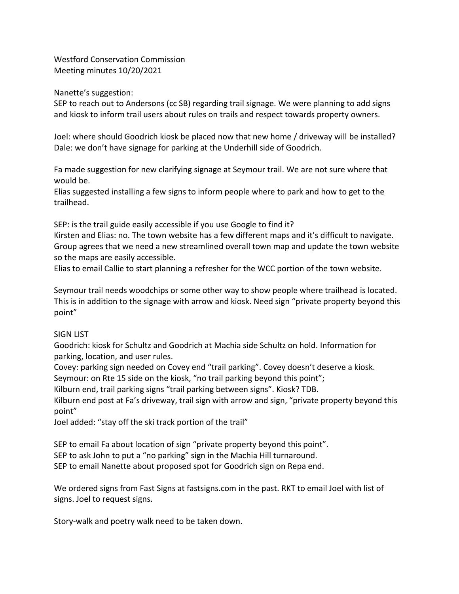Westford Conservation Commission Meeting minutes 10/20/2021

Nanette's suggestion:

SEP to reach out to Andersons (cc SB) regarding trail signage. We were planning to add signs and kiosk to inform trail users about rules on trails and respect towards property owners.

Joel: where should Goodrich kiosk be placed now that new home / driveway will be installed? Dale: we don't have signage for parking at the Underhill side of Goodrich.

Fa made suggestion for new clarifying signage at Seymour trail. We are not sure where that would be.

Elias suggested installing a few signs to inform people where to park and how to get to the trailhead.

SEP: is the trail guide easily accessible if you use Google to find it?

Kirsten and Elias: no. The town website has a few different maps and it's difficult to navigate. Group agrees that we need a new streamlined overall town map and update the town website so the maps are easily accessible.

Elias to email Callie to start planning a refresher for the WCC portion of the town website.

Seymour trail needs woodchips or some other way to show people where trailhead is located. This is in addition to the signage with arrow and kiosk. Need sign "private property beyond this point"

## SIGN LIST

Goodrich: kiosk for Schultz and Goodrich at Machia side Schultz on hold. Information for parking, location, and user rules.

Covey: parking sign needed on Covey end "trail parking". Covey doesn't deserve a kiosk. Seymour: on Rte 15 side on the kiosk, "no trail parking beyond this point";

Kilburn end, trail parking signs "trail parking between signs". Kiosk? TDB.

Kilburn end post at Fa's driveway, trail sign with arrow and sign, "private property beyond this point"

Joel added: "stay off the ski track portion of the trail"

SEP to email Fa about location of sign "private property beyond this point". SEP to ask John to put a "no parking" sign in the Machia Hill turnaround.

SEP to email Nanette about proposed spot for Goodrich sign on Repa end.

We ordered signs from Fast Signs at fastsigns.com in the past. RKT to email Joel with list of signs. Joel to request signs.

Story-walk and poetry walk need to be taken down.